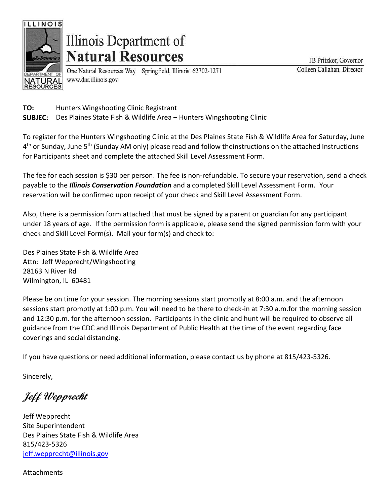

# Illinois Department of **Natural Resources**

One Natural Resources Way Springfield, Illinois 62702-1271 www.dnr.illinois.gov

JB Pritzker, Governor Colleen Callahan, Director

**TO: SUBJEC:** Hunters Wingshooting Clinic Registrant Des Plaines State Fish & Wildlife Area – Hunters Wingshooting Clinic

To register for the Hunters Wingshooting Clinic at the Des Plaines State Fish & Wildlife Area for Saturday, June 4<sup>th</sup> or Sunday, June 5<sup>th</sup> (Sunday AM only) please read and follow theinstructions on the attached Instructions for Participants sheet and complete the attached Skill Level Assessment Form.

The fee for each session is \$30 per person. The fee is non-refundable. To secure your reservation, send a check payable to the *Illinois Conservation Foundation* and a completed Skill Level Assessment Form. Your reservation will be confirmed upon receipt of your check and Skill Level Assessment Form.

Also, there is a permission form attached that must be signed by a parent or guardian for any participant under 18 years of age. If the permission form is applicable, please send the signed permission form with your check and Skill Level Form(s). Mail your form(s) and check to:

Des Plaines State Fish & Wildlife Area Attn: Jeff Wepprecht/Wingshooting 28163 N River Rd Wilmington, IL 60481

Please be on time for your session. The morning sessions start promptly at 8:00 a.m. and the afternoon sessions start promptly at 1:00 p.m. You will need to be there to check-in at 7:30 a.m.for the morning session and 12:30 p.m. for the afternoon session. Participants in the clinic and hunt will be required to observe all guidance from the CDC and Illinois Department of Public Health at the time of the event regarding face coverings and social distancing.

If you have questions or need additional information, please contact us by phone at 815/423-5326.

Sincerely,

**Jeff Wepprecht**

Jeff Wepprecht Site Superintendent Des Plaines State Fish & Wildlife Area 815/423-5326 [jeff.wepprecht@illinois.gov](mailto:jeff.wepprecht@illinois.gov)

Attachments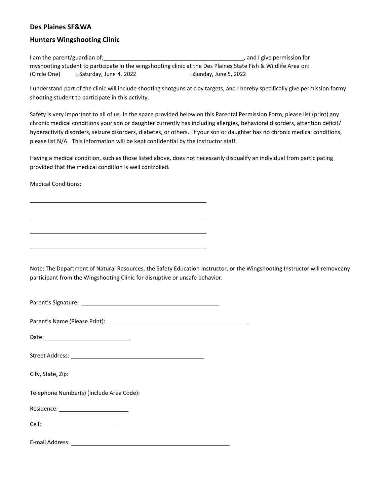#### **Des Plaines SF&WA**

#### **Hunters Wingshooting Clinic**

I am the parent/guardian of: 1200 million control and I give permission for myshooting student to participate in the wingshooting clinic at the Des Plaines State Fish & Wildlife Area on: (Circle One) □Saturday, June 4, 2022 □Sunday, June 5, 2022

I understand part of the clinic will include shooting shotguns at clay targets, and I hereby specifically give permission formy shooting student to participate in this activity.

Safety is very important to all of us. In the space provided below on this Parental Permission Form, please list (print) any chronic medical conditions your son or daughter currently has including allergies, behavioral disorders, attention deficit/ hyperactivity disorders, seizure disorders, diabetes, or others. If your son or daughter has no chronic medical conditions, please list N/A. This information will be kept confidential by the instructor staff.

Having a medical condition, such as those listed above, does not necessarily disqualify an individual from participating provided that the medical condition is well controlled.

Medical Conditions:

Note: The Department of Natural Resources, the Safety Education Instructor, or the Wingshooting Instructor will removeany participant from the Wingshooting Clinic for disruptive or unsafe behavior.

Parent's Signature:

Parent's Name (Please Print):

Date: when the contract of the contract of the contract of the contract of the contract of the contract of the contract of the contract of the contract of the contract of the contract of the contract of the contract of the

Street Address:

City, State, Zip:

Telephone Number(s) (Include Area Code):

Residence:

Cell:

E-mail Address: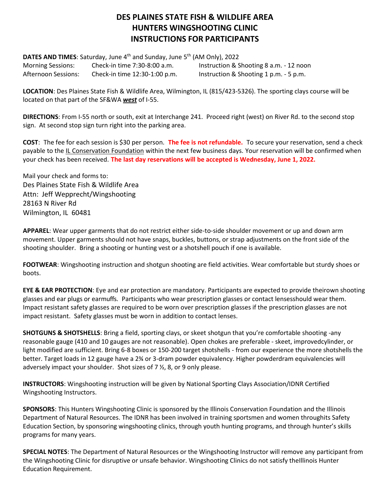### **DES PLAINES STATE FISH & WILDLIFE AREA HUNTERS WINGSHOOTING CLINIC INSTRUCTIONS FOR PARTICIPANTS**

**DATES AND TIMES:** Saturday, June 4<sup>th</sup> and Sunday, June 5<sup>th</sup> (AM Only), 2022 Morning Sessions: Check-in time 7:30-8:00 a.m. Afternoon Sessions: Check-in time 12:30-1:00 p.m. Instruction & Shooting 8 a.m. - 12 noon Instruction & Shooting 1 p.m. - 5 p.m.

**LOCATION**: Des Plaines State Fish & Wildlife Area, Wilmington, IL (815/423-5326). The sporting clays course will be located on that part of the SF&WA *west* of I-55.

**DIRECTIONS**: From I-55 north or south, exit at Interchange 241. Proceed right (west) on River Rd. to the second stop sign. At second stop sign turn right into the parking area.

**COST**: The fee for each session is \$30 per person. **The fee is not refundable.** To secure your reservation, send a check payable to the IL Conservation Foundation within the next few business days. Your reservation will be confirmed when your check has been received. **The last day reservations will be accepted is Wednesday, June 1, 2022.**

Mail your check and forms to: Des Plaines State Fish & Wildlife Area Attn: Jeff Wepprecht/Wingshooting 28163 N River Rd Wilmington, IL 60481

**APPAREL**: Wear upper garments that do not restrict either side-to-side shoulder movement or up and down arm movement. Upper garments should not have snaps, buckles, buttons, or strap adjustments on the front side of the shooting shoulder. Bring a shooting or hunting vest or a shotshell pouch if one is available.

**FOOTWEAR**: Wingshooting instruction and shotgun shooting are field activities. Wear comfortable but sturdy shoes or boots.

**EYE & EAR PROTECTION**: Eye and ear protection are mandatory. Participants are expected to provide theirown shooting glasses and ear plugs or earmuffs. Participants who wear prescription glasses or contact lensesshould wear them. Impact resistant safety glasses are required to be worn over prescription glasses if the prescription glasses are not impact resistant. Safety glasses must be worn in addition to contact lenses.

**SHOTGUNS & SHOTSHELLS**: Bring a field, sporting clays, or skeet shotgun that you're comfortable shooting -any reasonable gauge (410 and 10 gauges are not reasonable). Open chokes are preferable - skeet, improvedcylinder, or light modified are sufficient. Bring 6-8 boxes or 150-200 target shotshells - from our experience the more shotshells the better. Target loads in 12 gauge have a 2¾ or 3-dram powder equivalency. Higher powderdram equivalencies will adversely impact your shoulder. Shot sizes of 7 ½, 8, or 9 only please.

**INSTRUCTORS**: Wingshooting instruction will be given by National Sporting Clays Association/IDNR Certified Wingshooting Instructors.

**SPONSORS**: This Hunters Wingshooting Clinic is sponsored by the Illinois Conservation Foundation and the Illinois Department of Natural Resources. The IDNR has been involved in training sportsmen and women throughits Safety Education Section, by sponsoring wingshooting clinics, through youth hunting programs, and through hunter's skills programs for many years.

**SPECIAL NOTES**: The Department of Natural Resources or the Wingshooting Instructor will remove any participant from the Wingshooting Clinic for disruptive or unsafe behavior. Wingshooting Clinics do not satisfy theIllinois Hunter Education Requirement.